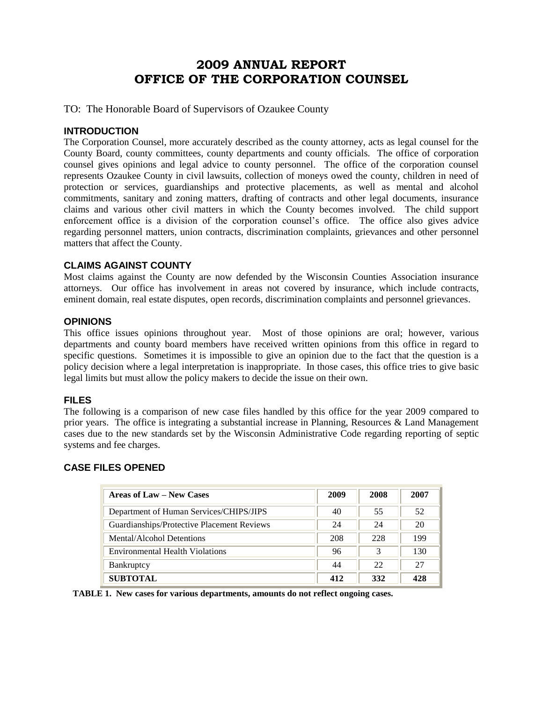## **2009 ANNUAL REPORT OFFICE OF THE CORPORATION COUNSEL**

TO: The Honorable Board of Supervisors of Ozaukee County

#### **INTRODUCTION**

The Corporation Counsel, more accurately described as the county attorney, acts as legal counsel for the County Board, county committees, county departments and county officials. The office of corporation counsel gives opinions and legal advice to county personnel. The office of the corporation counsel represents Ozaukee County in civil lawsuits, collection of moneys owed the county, children in need of protection or services, guardianships and protective placements, as well as mental and alcohol commitments, sanitary and zoning matters, drafting of contracts and other legal documents, insurance claims and various other civil matters in which the County becomes involved. The child support enforcement office is a division of the corporation counsel's office. The office also gives advice regarding personnel matters, union contracts, discrimination complaints, grievances and other personnel matters that affect the County.

#### **CLAIMS AGAINST COUNTY**

Most claims against the County are now defended by the Wisconsin Counties Association insurance attorneys. Our office has involvement in areas not covered by insurance, which include contracts, eminent domain, real estate disputes, open records, discrimination complaints and personnel grievances.

#### **OPINIONS**

This office issues opinions throughout year. Most of those opinions are oral; however, various departments and county board members have received written opinions from this office in regard to specific questions. Sometimes it is impossible to give an opinion due to the fact that the question is a policy decision where a legal interpretation is inappropriate. In those cases, this office tries to give basic legal limits but must allow the policy makers to decide the issue on their own.

#### **FILES**

The following is a comparison of new case files handled by this office for the year 2009 compared to prior years. The office is integrating a substantial increase in Planning, Resources & Land Management cases due to the new standards set by the Wisconsin Administrative Code regarding reporting of septic systems and fee charges.

#### **CASE FILES OPENED**

| <b>Areas of Law – New Cases</b>            | 2009 | 2008 | 2007 |
|--------------------------------------------|------|------|------|
| Department of Human Services/CHIPS/JIPS    | 40   | 55   | 52   |
| Guardianships/Protective Placement Reviews | 24   | 24   | 20   |
| Mental/Alcohol Detentions                  | 208  | 228  | 199  |
| <b>Environmental Health Violations</b>     | 96   | 3    | 130  |
| <b>Bankruptcy</b>                          | 44   | 22   | 27   |
| <b>SUBTOTAL</b>                            | 412  | 332  | 428  |

 **TABLE 1. New cases for various departments, amounts do not reflect ongoing cases.**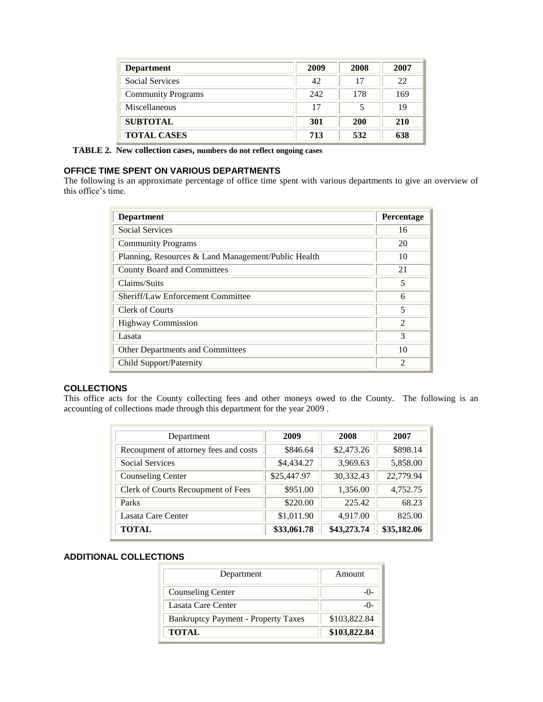| <b>Department</b>         | 2009 | 2008       | 2007 |
|---------------------------|------|------------|------|
| <b>Social Services</b>    | 42   | 17         | 22   |
| <b>Community Programs</b> | 242  | 178        | 169  |
| Miscellaneous             | 17   |            | 19   |
| <b>SUBTOTAL</b>           | 301  | <b>200</b> | 210  |
| <b>TOTAL CASES</b>        | 713  | 532        | 638  |

 **TABLE 2. New collection cases, numbers do not reflect ongoing cases**

#### **OFFICE TIME SPENT ON VARIOUS DEPARTMENTS**

The following is an approximate percentage of office time spent with various departments to give an overview of this office's time.

| <b>Department</b>                                   | Percentage                  |
|-----------------------------------------------------|-----------------------------|
| <b>Social Services</b>                              | 16                          |
| <b>Community Programs</b>                           | 20                          |
| Planning, Resources & Land Management/Public Health | 10                          |
| County Board and Committees                         | 21                          |
| Claims/Suits                                        | 5                           |
| Sheriff/Law Enforcement Committee                   | 6                           |
| Clerk of Courts                                     | 5                           |
| <b>Highway Commission</b>                           | $\mathcal{D}_{\mathcal{L}}$ |
| Lasata                                              | 3                           |
| Other Departments and Committees                    | 10                          |
| Child Support/Paternity                             | $\mathfrak{D}$              |

#### **COLLECTIONS**

This office acts for the County collecting fees and other moneys owed to the County. The following is an accounting of collections made through this department for the year 2009 .

| Department                            | 2009        | 2008        | 2007        |
|---------------------------------------|-------------|-------------|-------------|
| Recoupment of attorney fees and costs | \$846.64    | \$2,473.26  | \$898.14    |
| Social Services                       | \$4,434.27  | 3,969.63    | 5,858.00    |
| <b>Counseling Center</b>              | \$25,447.97 | 30,332.43   | 22,779.94   |
| Clerk of Courts Recoupment of Fees    | \$951.00    | 1,356.00    | 4,752.75    |
| Parks                                 | \$220.00    | 225.42      | 68.23       |
| Lasata Care Center                    | \$1,011.90  | 4,917.00    | 825.00      |
| <b>TOTAL</b>                          | \$33,061.78 | \$43,273.74 | \$35,182.06 |

#### **ADDITIONAL COLLECTIONS**

| Department                                 | Amount       |
|--------------------------------------------|--------------|
| <b>Counseling Center</b>                   |              |
| Lasata Care Center                         |              |
| <b>Bankruptcy Payment - Property Taxes</b> | \$103,822.84 |
| <b>TOTAL</b>                               | \$103,822.84 |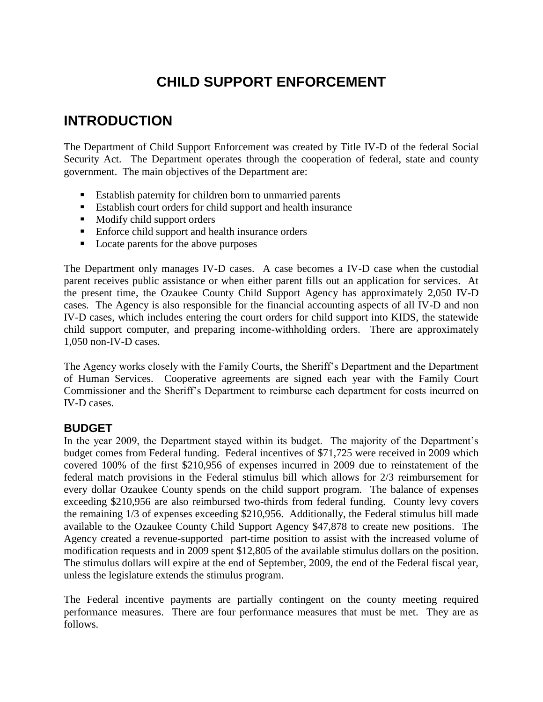# **CHILD SUPPORT ENFORCEMENT**

# **INTRODUCTION**

The Department of Child Support Enforcement was created by Title IV-D of the federal Social Security Act. The Department operates through the cooperation of federal, state and county government. The main objectives of the Department are:

- Establish paternity for children born to unmarried parents
- Establish court orders for child support and health insurance
- **Modify child support orders**
- **Enforce child support and health insurance orders**
- **Locate parents for the above purposes**

The Department only manages IV-D cases. A case becomes a IV-D case when the custodial parent receives public assistance or when either parent fills out an application for services. At the present time, the Ozaukee County Child Support Agency has approximately 2,050 IV-D cases. The Agency is also responsible for the financial accounting aspects of all IV-D and non IV-D cases, which includes entering the court orders for child support into KIDS, the statewide child support computer, and preparing income-withholding orders. There are approximately 1,050 non-IV-D cases.

The Agency works closely with the Family Courts, the Sheriff's Department and the Department of Human Services. Cooperative agreements are signed each year with the Family Court Commissioner and the Sheriff's Department to reimburse each department for costs incurred on IV-D cases.

## **BUDGET**

In the year 2009, the Department stayed within its budget. The majority of the Department's budget comes from Federal funding. Federal incentives of \$71,725 were received in 2009 which covered 100% of the first \$210,956 of expenses incurred in 2009 due to reinstatement of the federal match provisions in the Federal stimulus bill which allows for 2/3 reimbursement for every dollar Ozaukee County spends on the child support program. The balance of expenses exceeding \$210,956 are also reimbursed two-thirds from federal funding. County levy covers the remaining 1/3 of expenses exceeding \$210,956. Additionally, the Federal stimulus bill made available to the Ozaukee County Child Support Agency \$47,878 to create new positions. The Agency created a revenue-supported part-time position to assist with the increased volume of modification requests and in 2009 spent \$12,805 of the available stimulus dollars on the position. The stimulus dollars will expire at the end of September, 2009, the end of the Federal fiscal year, unless the legislature extends the stimulus program.

The Federal incentive payments are partially contingent on the county meeting required performance measures. There are four performance measures that must be met. They are as follows.